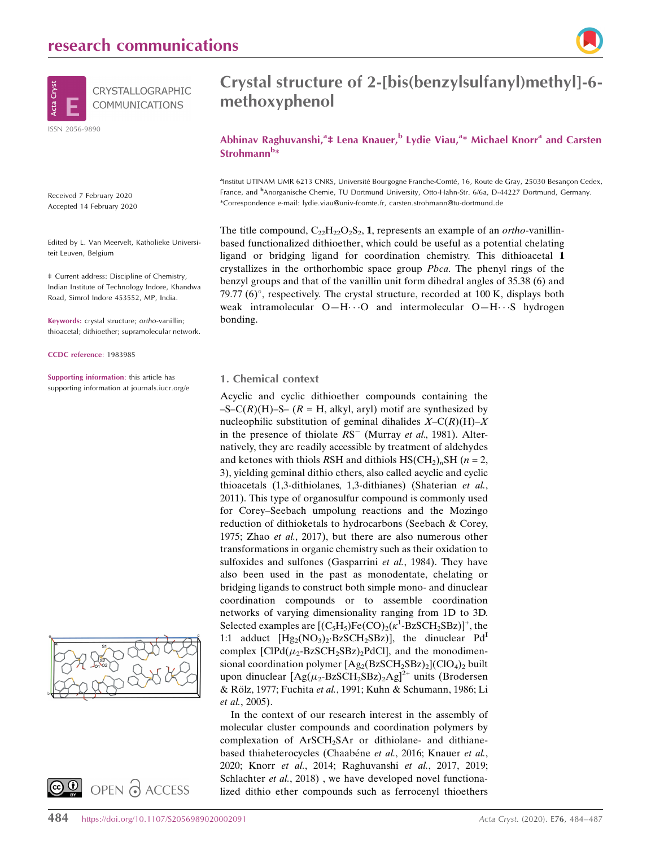

Received 7 February 2020 Accepted 14 February 2020

Edited by L. Van Meervelt, Katholieke Universiteit Leuven, Belgium

‡ Current address: Discipline of Chemistry, Indian Institute of Technology Indore, Khandwa Road, Simrol Indore 453552, MP, India.

Keywords: crystal structure; ortho-vanillin; thioacetal; dithioether; supramolecular network.

CCDC reference: 1983985

Supporting information: this article has supporting information at journals.iucr.org/e







# Crystal structure of 2-[bis(benzylsulfanyl)methyl]-6 methoxyphenol

Abhinav Raghuvanshi,<sup>a</sup>‡ Lena Knauer,<sup>b</sup> Lydie Viau,<sup>a</sup>\* Michael Knorr<sup>a</sup> and Carsten Strohmann<sup>b</sup>\*

alnstitut UTINAM UMR 6213 CNRS, Université Bourgogne Franche-Comté, 16, Route de Gray, 25030 Besançon Cedex, France, and <sup>b</sup>Anorganische Chemie, TU Dortmund University, Otto-Hahn-Str. 6/6a, D-44227 Dortmund, Germany. \*Correspondence e-mail: lydie.viau@univ-fcomte.fr, carsten.strohmann@tu-dortmund.de

The title compound,  $C_{22}H_{22}O_{2}S_{2}$ , 1, represents an example of an *ortho*-vanillinbased functionalized dithioether, which could be useful as a potential chelating ligand or bridging ligand for coordination chemistry. This dithioacetal 1 crystallizes in the orthorhombic space group Pbca. The phenyl rings of the benzyl groups and that of the vanillin unit form dihedral angles of 35.38 (6) and 79.77 (6) $^{\circ}$ , respectively. The crystal structure, recorded at 100 K, displays both weak intramolecular  $O-H\cdots O$  and intermolecular  $O-H\cdots S$  hydrogen bonding.

1. Chemical context

Acyclic and cyclic dithioether compounds containing the  $-S-C(R)(H)-S-(R = H, alkyl, aryl)$  motif are synthesized by nucleophilic substitution of geminal dihalides  $X-C(R)(H)-X$ in the presence of thiolate  $RS^-$  (Murray et al., 1981). Alternatively, they are readily accessible by treatment of aldehydes and ketones with thiols RSH and dithiols  $HS(CH_2)_nSH(n = 2,$ 3), yielding geminal dithio ethers, also called acyclic and cyclic thioacetals (1,3-dithiolanes, 1,3-dithianes) (Shaterian et al., 2011). This type of organosulfur compound is commonly used for Corey–Seebach umpolung reactions and the Mozingo reduction of dithioketals to hydrocarbons (Seebach & Corey, 1975; Zhao et al., 2017), but there are also numerous other transformations in organic chemistry such as their oxidation to sulfoxides and sulfones (Gasparrini et al., 1984). They have also been used in the past as monodentate, chelating or bridging ligands to construct both simple mono- and dinuclear coordination compounds or to assemble coordination networks of varying dimensionality ranging from 1D to 3D. Selected examples are  $[(C_5H_5)Fe(CO)_2(\kappa^1-BzSCH_2SBz)]^+$ , the 1:1 adduct  $[Hg_2(NO_3)_2 \cdot BzSCH_2SBz]$ , the dinuclear Pd<sup>1</sup> complex  $[CIPd(\mu_2-BzSCH_2SBz)_2PdCl]$ , and the monodimensional coordination polymer  $[Ag_2(BzSCH_2SBz)_2](ClO_4)_2$  built upon dinuclear  $[Ag(\mu_2-BzSCH_2SBz)_2Ag]^{2+}$  units (Brodersen & Rölz, 1977; Fuchita et al., 1991; Kuhn & Schumann, 1986; Li et al., 2005).

In the context of our research interest in the assembly of molecular cluster compounds and coordination polymers by complexation of ArSCH<sub>2</sub>SAr or dithiolane- and dithianebased thiaheterocycles (Chaabéne et al., 2016; Knauer et al., 2020; Knorr et al., 2014; Raghuvanshi et al., 2017, 2019; Schlachter et al., 2018), we have developed novel functionalized dithio ether compounds such as ferrocenyl thioethers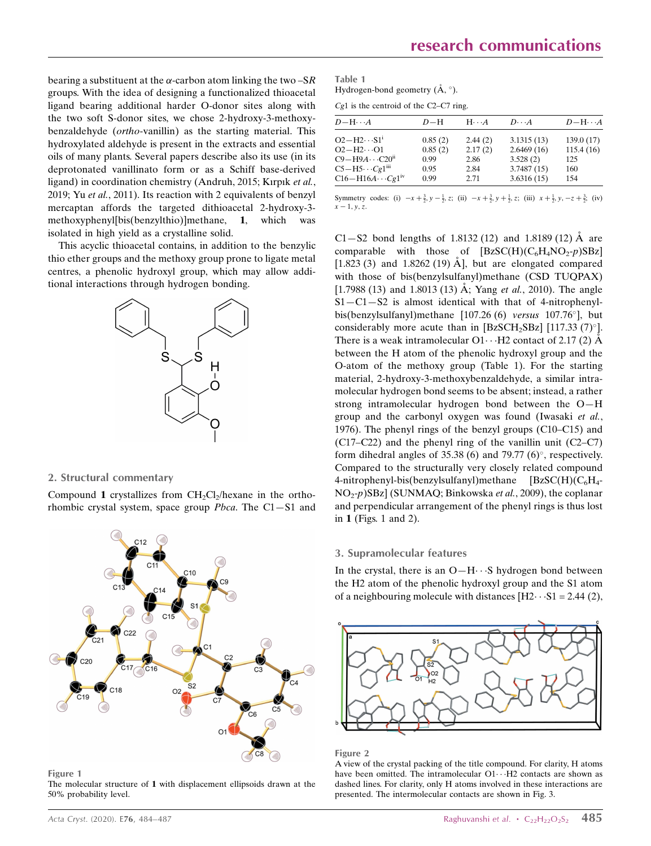bearing a substituent at the  $\alpha$ -carbon atom linking the two –SR groups. With the idea of designing a functionalized thioacetal ligand bearing additional harder O-donor sites along with the two soft S-donor sites, we chose 2-hydroxy-3-methoxybenzaldehyde (ortho-vanillin) as the starting material. This hydroxylated aldehyde is present in the extracts and essential oils of many plants. Several papers describe also its use (in its deprotonated vanillinato form or as a Schiff base-derived ligand) in coordination chemistry (Andruh, 2015; Kırpık et al., 2019; Yu et al., 2011). Its reaction with 2 equivalents of benzyl mercaptan affords the targeted dithioacetal 2-hydroxy-3 methoxyphenyl[bis(benzylthio)]methane, 1, which was isolated in high yield as a crystalline solid.

This acyclic thioacetal contains, in addition to the benzylic thio ether groups and the methoxy group prone to ligate metal centres, a phenolic hydroxyl group, which may allow additional interactions through hydrogen bonding.



### 2. Structural commentary

Compound 1 crystallizes from  $CH_2Cl_2$ /hexane in the orthorhombic crystal system, space group  $Pbca$ . The  $C1-S1$  and



Figure 1

The molecular structure of 1 with displacement ellipsoids drawn at the 50% probability level.

| Table 1                                            |  |  |
|----------------------------------------------------|--|--|
| Hydrogen-bond geometry $(\mathring{A}, \degree)$ . |  |  |

Cg1 is the centroid of the C2–C7 ring.

| $D-\mathrm{H}\cdots A$         | $D-H$   | $H \cdot \cdot \cdot A$ | $D\cdot\cdot\cdot A$ | $D - H \cdots A$ |
|--------------------------------|---------|-------------------------|----------------------|------------------|
|                                |         |                         |                      |                  |
| $O2 - H2 \cdot S1^1$           | 0.85(2) | 2.44(2)                 | 3.1315(13)           | 139.0(17)        |
| $O2 - H2 \cdot \cdot \cdot O1$ | 0.85(2) | 2.17(2)                 | 2.6469(16)           | 115.4(16)        |
| $C9 - H9A \cdots C20n$         | 0.99    | 2.86                    | 3.528(2)             | 125              |
| $C5 - H5 \cdots Cg1iii$        | 0.95    | 2.84                    | 3.7487(15)           | 160              |
| $C16 - H16A \cdots Cg1iv$      | 0.99    | 2.71                    | 3.6316(15)           | 154              |

Symmetry codes: (i)  $-x + \frac{3}{2}$ ,  $y - \frac{1}{2}$ , z; (ii)  $-x + \frac{3}{2}$ ,  $y + \frac{1}{2}$ , z; (iii)  $x + \frac{1}{2}$ ,  $y, -z + \frac{3}{2}$ ; (iv)  $x - 1, y, z.$ 

C1—S2 bond lengths of 1.8132 (12) and 1.8189 (12)  $\AA$  are comparable with those of  $[BzSC(H)(C_6H_4NO_2-p)SBZ]$ [1.823 (3) and 1.8262 (19)  $\AA$ ], but are elongated compared with those of bis(benzylsulfanyl)methane (CSD TUQPAX) [1.7988 (13) and 1.8013 (13) Å; Yang *et al.*, 2010). The angle  $S1 - C1 - S2$  is almost identical with that of 4-nitrophenylbis(benzylsulfanyl)methane [107.26 (6) versus 107.76°], but considerably more acute than in  $[BzSCH_2SBz]$  [117.33 (7)°]. There is a weak intramolecular O1 $\cdots$ H2 contact of 2.17 (2) A between the H atom of the phenolic hydroxyl group and the O-atom of the methoxy group (Table 1). For the starting material, 2-hydroxy-3-methoxybenzaldehyde, a similar intramolecular hydrogen bond seems to be absent; instead, a rather strong intramolecular hydrogen bond between the O—H group and the carbonyl oxygen was found (Iwasaki et al., 1976). The phenyl rings of the benzyl groups (C10–C15) and  $(C17-C22)$  and the phenyl ring of the vanillin unit  $(C2-C7)$ form dihedral angles of 35.38 (6) and 79.77 (6) $^{\circ}$ , respectively. Compared to the structurally very closely related compound 4-nitrophenyl-bis(benzylsulfanyl)methane  $[{\rm BzSC(H)(C_6H_4-}$  $NO<sub>2</sub>-p)SBz$ ] (SUNMAQ; Binkowska *et al.*, 2009), the coplanar and perpendicular arrangement of the phenyl rings is thus lost in 1 (Figs. 1 and 2).

### 3. Supramolecular features

In the crystal, there is an  $O-H \cdot \cdot S$  hydrogen bond between the H2 atom of the phenolic hydroxyl group and the S1 atom of a neighbouring molecule with distances  $[H2 \cdots S1 = 2.44 (2),$ 



### Figure 2

A view of the crystal packing of the title compound. For clarity, H atoms have been omitted. The intramolecular  $O1 \cdots H2$  contacts are shown as dashed lines. For clarity, only H atoms involved in these interactions are presented. The intermolecular contacts are shown in Fig. 3.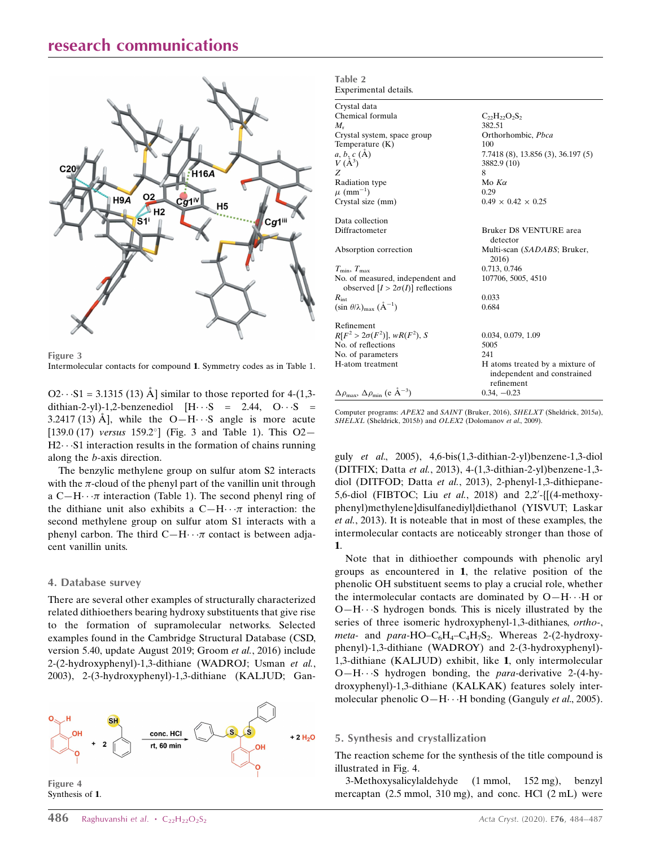# research communications



Figure 3 Intermolecular contacts for compound 1. Symmetry codes as in Table 1.

 $O2 \cdot S1 = 3.1315 (13)$  Å similar to those reported for 4-(1,3dithian-2-yl)-1,2-benzenediol  $[H\cdots S = 2.44, O\cdots S =$ 3.2417 (13) A<sup> $\,$ </sup>, while the O-H $\cdot \cdot$ S angle is more acute [139.0 (17) versus  $159.2^{\circ}$ ] (Fig. 3 and Table 1). This O2- $H2\cdots S1$  interaction results in the formation of chains running along the b-axis direction.

The benzylic methylene group on sulfur atom S2 interacts with the  $\pi$ -cloud of the phenyl part of the vanillin unit through a C—H $\cdots$  interaction (Table 1). The second phenyl ring of the dithiane unit also exhibits a  $C-H \cdots \pi$  interaction: the second methylene group on sulfur atom S1 interacts with a phenyl carbon. The third  $C-H \cdots \pi$  contact is between adjacent vanillin units.

### 4. Database survey

There are several other examples of structurally characterized related dithioethers bearing hydroxy substituents that give rise to the formation of supramolecular networks. Selected examples found in the Cambridge Structural Database (CSD, version 5.40, update August 2019; Groom et al., 2016) include 2-(2-hydroxyphenyl)-1,3-dithiane (WADROJ; Usman et al., 2003), 2-(3-hydroxyphenyl)-1,3-dithiane (KALJUD; Gan-



| Experimental details.                                                        |                                                                              |
|------------------------------------------------------------------------------|------------------------------------------------------------------------------|
| Crystal data                                                                 |                                                                              |
| Chemical formula                                                             | $C_{22}H_{22}O_2S_2$                                                         |
| $M_{r}$                                                                      | 382.51                                                                       |
| Crystal system, space group                                                  | Orthorhombic, Pbca                                                           |
| Temperature $(K)$                                                            | 100                                                                          |
| $a, b, c (\AA)$                                                              | 7.7418 (8), 13.856 (3), 36.197 (5)                                           |
| $V(A^3)$                                                                     | 3882.9 (10)                                                                  |
| Z                                                                            | 8                                                                            |
| Radiation type                                                               | Mo $K\alpha$                                                                 |
| $\mu$ (mm <sup>-1</sup> )                                                    | 0.29                                                                         |
| Crystal size (mm)                                                            | $0.49 \times 0.42 \times 0.25$                                               |
| Data collection                                                              |                                                                              |
| Diffractometer                                                               | Bruker D8 VENTURE area<br>detector                                           |
| Absorption correction                                                        | Multi-scan (SADABS; Bruker,<br>2016)                                         |
| $T_{\min}, T_{\max}$                                                         | 0.713, 0.746                                                                 |
| No. of measured, independent and<br>observed $[I > 2\sigma(I)]$ reflections  | 107706, 5005, 4510                                                           |
| $R_{\text{int}}$                                                             | 0.033                                                                        |
| $(\sin \theta/\lambda)_{\text{max}}$ $(\text{\AA}^{-1})$                     | 0.684                                                                        |
| Refinement                                                                   |                                                                              |
| $R[F^2 > 2\sigma(F^2)], wR(F^2), S$                                          | 0.034, 0.079, 1.09                                                           |
| No. of reflections                                                           | 5005                                                                         |
| No. of parameters                                                            | 241                                                                          |
| H-atom treatment                                                             | H atoms treated by a mixture of<br>independent and constrained<br>refinement |
| $\Delta \rho_{\text{max}}$ , $\Delta \rho_{\text{min}}$ (e Å <sup>-3</sup> ) | $0.34, -0.23$                                                                |

Table 2

Computer programs: APEX2 and SAINT (Bruker, 2016), SHELXT (Sheldrick, 2015a), SHELXL (Sheldrick, 2015b) and OLEX2 (Dolomanov et al., 2009).

guly et al., 2005), 4,6-bis(1,3-dithian-2-yl)benzene-1,3-diol (DITFIX; Datta et al., 2013), 4-(1,3-dithian-2-yl)benzene-1,3 diol (DITFOD; Datta et al., 2013), 2-phenyl-1,3-dithiepane-5,6-diol (FIBTOC; Liu et al., 2018) and 2,2'-{[(4-methoxyphenyl)methylene]disulfanediyl}diethanol (YISVUT; Laskar et al., 2013). It is noteable that in most of these examples, the intermolecular contacts are noticeably stronger than those of 1.

Note that in dithioether compounds with phenolic aryl groups as encountered in 1, the relative position of the phenolic OH substituent seems to play a crucial role, whether the intermolecular contacts are dominated by  $O-H \cdot \cdot H$  or  $O-H \cdot S$  hydrogen bonds. This is nicely illustrated by the series of three isomeric hydroxyphenyl-1,3-dithianes, ortho-, meta- and para-HO– $C_6H_4$ – $C_4H_7S_2$ . Whereas 2-(2-hydroxyphenyl)-1,3-dithiane (WADROY) and 2-(3-hydroxyphenyl)- 1,3-dithiane (KALJUD) exhibit, like 1, only intermolecular  $O-H \cdots S$  hydrogen bonding, the *para*-derivative 2-(4-hydroxyphenyl)-1,3-dithiane (KALKAK) features solely intermolecular phenolic O—H $\cdots$ H bonding (Ganguly *et al.*, 2005).

### 5. Synthesis and crystallization

The reaction scheme for the synthesis of the title compound is illustrated in Fig. 4.

3-Methoxysalicylaldehyde (1 mmol, 152 mg), benzyl mercaptan (2.5 mmol, 310 mg), and conc. HCl (2 mL) were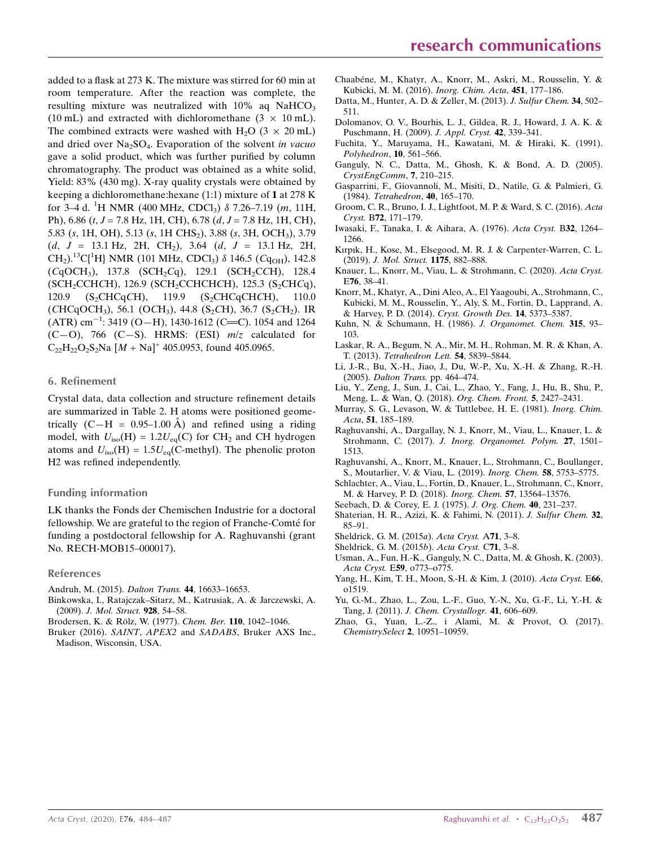added to a flask at 273 K. The mixture was stirred for 60 min at room temperature. After the reaction was complete, the resulting mixture was neutralized with  $10\%$  aq NaHCO<sub>3</sub> (10 mL) and extracted with dichloromethane  $(3 \times 10 \text{ mL})$ . The combined extracts were washed with H<sub>2</sub>O (3  $\times$  20 mL) and dried over  $Na<sub>2</sub>SO<sub>4</sub>$ . Evaporation of the solvent in vacuo gave a solid product, which was further purified by column chromatography. The product was obtained as a white solid, Yield: 83% (430 mg). X-ray quality crystals were obtained by keeping a dichloromethane:hexane (1:1) mixture of 1 at 278 K for 3–4 d. <sup>1</sup>H NMR (400 MHz, CDCl<sub>3</sub>)  $\delta$  7.26–7.19 (*m*, 11H, Ph),  $6.86$  (t,  $J = 7.8$  Hz, 1H, CH),  $6.78$  (d,  $J = 7.8$  Hz, 1H, CH), 5.83 (s, 1H, OH), 5.13 (s, 1H CHS<sub>2</sub>), 3.88 (s, 3H, OCH<sub>3</sub>), 3.79  $(d, J = 13.1 \text{ Hz}, 2H, CH_2), 3.64 (d, J = 13.1 \text{ Hz}, 2H,$ CH<sub>2</sub>).<sup>13</sup>C{<sup>1</sup>H} NMR (101 MHz, CDCl<sub>3</sub>)  $\delta$  146.5 (Cq<sub>OH</sub>), 142.8  $(CqOCH_3)$ , 137.8  $(SCH_2Cq)$ , 129.1  $(SCH_2CCH)$ , 128.4  $(SCH_2CCHCH)$ , 126.9  $(SCH_2CCHCHCH)$ , 125.3  $(S_2CHCq)$ , 120.9 (S<sub>2</sub>CHCqCH), 119.9 (S<sub>2</sub>CHCqCHCH), 110.0 (CHCqOCH<sub>3</sub>), 56.1 (OCH<sub>3</sub>), 44.8 (S<sub>2</sub>CH), 36.7 (S<sub>2</sub>CH<sub>2</sub>). IR  $(ATR)$  cm<sup>-1</sup>: 3419 (O-H), 1430-1612 (C=C). 1054 and 1264  $(C-O)$ , 766  $(C-S)$ . HRMS:  $(ESI)$   $m/z$  calculated for  $C_{22}H_{22}O_2S_2Na$  [ $M + Na$ ]<sup>+</sup> 405.0953, found 405.0965.

### 6. Refinement

Crystal data, data collection and structure refinement details are summarized in Table 2. H atoms were positioned geometrically  $(C-H = 0.95-1.00 \text{ Å})$  and refined using a riding model, with  $U_{iso}(H) = 1.2U_{eq}(C)$  for CH<sub>2</sub> and CH hydrogen atoms and  $U_{iso}(H) = 1.5U_{eq}(C$ -methyl). The phenolic proton H2 was refined independently.

### Funding information

LK thanks the Fonds der Chemischen Industrie for a doctoral fellowship. We are grateful to the region of Franche-Comté for funding a postdoctoral fellowship for A. Raghuvanshi (grant No. RECH-MOB15–000017).

#### References

- [Andruh, M. \(2015\).](http://scripts.iucr.org/cgi-bin/cr.cgi?rm=pdfbb&cnor=vm2228&bbid=BB1) Dalton Trans. 44, 16633–16653.
- [Binkowska, I., Ratajczak–Sitarz, M., Katrusiak, A. & Jarczewski, A.](http://scripts.iucr.org/cgi-bin/cr.cgi?rm=pdfbb&cnor=vm2228&bbid=BB2) (2009). [J. Mol. Struct.](http://scripts.iucr.org/cgi-bin/cr.cgi?rm=pdfbb&cnor=vm2228&bbid=BB2) 928, 54–58.
- Brodersen, K. & Rölz, W. (1977). Chem. Ber. 110, 1042-1046.
- Bruker (2016). SAINT, APEX2 and SADABS[, Bruker AXS Inc.,](http://scripts.iucr.org/cgi-bin/cr.cgi?rm=pdfbb&cnor=vm2228&bbid=BB4) [Madison, Wisconsin, USA.](http://scripts.iucr.org/cgi-bin/cr.cgi?rm=pdfbb&cnor=vm2228&bbid=BB4)
- Chaabéne, M., Khatyr, A., Knorr, M., Askri, M., Rousselin, Y. & [Kubicki, M. M. \(2016\).](http://scripts.iucr.org/cgi-bin/cr.cgi?rm=pdfbb&cnor=vm2228&bbid=BB5) Inorg. Chim. Acta, 451, 177–186.
- [Datta, M., Hunter, A. D. & Zeller, M. \(2013\).](http://scripts.iucr.org/cgi-bin/cr.cgi?rm=pdfbb&cnor=vm2228&bbid=BB6) J. Sulfur Chem. 34, 502– [511.](http://scripts.iucr.org/cgi-bin/cr.cgi?rm=pdfbb&cnor=vm2228&bbid=BB6)
- [Dolomanov, O. V., Bourhis, L. J., Gildea, R. J., Howard, J. A. K. &](http://scripts.iucr.org/cgi-bin/cr.cgi?rm=pdfbb&cnor=vm2228&bbid=BB7) [Puschmann, H. \(2009\).](http://scripts.iucr.org/cgi-bin/cr.cgi?rm=pdfbb&cnor=vm2228&bbid=BB7) J. Appl. Cryst. 42, 339–341.
- [Fuchita, Y., Maruyama, H., Kawatani, M. & Hiraki, K. \(1991\).](http://scripts.iucr.org/cgi-bin/cr.cgi?rm=pdfbb&cnor=vm2228&bbid=BB8) [Polyhedron](http://scripts.iucr.org/cgi-bin/cr.cgi?rm=pdfbb&cnor=vm2228&bbid=BB8), 10, 561–566.
- [Ganguly, N. C., Datta, M., Ghosh, K. & Bond, A. D. \(2005\).](http://scripts.iucr.org/cgi-bin/cr.cgi?rm=pdfbb&cnor=vm2228&bbid=BB9) [CrystEngComm](http://scripts.iucr.org/cgi-bin/cr.cgi?rm=pdfbb&cnor=vm2228&bbid=BB9), 7, 210–215.
- [Gasparrini, F., Giovannoli, M., Misiti, D., Natile, G. & Palmieri, G.](http://scripts.iucr.org/cgi-bin/cr.cgi?rm=pdfbb&cnor=vm2228&bbid=BB10) (1984). [Tetrahedron](http://scripts.iucr.org/cgi-bin/cr.cgi?rm=pdfbb&cnor=vm2228&bbid=BB10), 40, 165–170.
- [Groom, C. R., Bruno, I. J., Lightfoot, M. P. & Ward, S. C. \(2016\).](http://scripts.iucr.org/cgi-bin/cr.cgi?rm=pdfbb&cnor=vm2228&bbid=BB11) Acta Cryst. B72[, 171–179.](http://scripts.iucr.org/cgi-bin/cr.cgi?rm=pdfbb&cnor=vm2228&bbid=BB11)
- [Iwasaki, F., Tanaka, I. & Aihara, A. \(1976\).](http://scripts.iucr.org/cgi-bin/cr.cgi?rm=pdfbb&cnor=vm2228&bbid=BB12) Acta Cryst. B32, 1264– [1266.](http://scripts.iucr.org/cgi-bin/cr.cgi?rm=pdfbb&cnor=vm2228&bbid=BB12)
- [Kırpık, H., Kose, M., Elsegood, M. R. J. & Carpenter-Warren, C. L.](http://scripts.iucr.org/cgi-bin/cr.cgi?rm=pdfbb&cnor=vm2228&bbid=BB13) (2019). [J. Mol. Struct.](http://scripts.iucr.org/cgi-bin/cr.cgi?rm=pdfbb&cnor=vm2228&bbid=BB13) 1175, 882–888.
- [Knauer, L., Knorr, M., Viau, L. & Strohmann, C. \(2020\).](http://scripts.iucr.org/cgi-bin/cr.cgi?rm=pdfbb&cnor=vm2228&bbid=BB14) Acta Cryst. E76[, 38–41.](http://scripts.iucr.org/cgi-bin/cr.cgi?rm=pdfbb&cnor=vm2228&bbid=BB14)
- [Knorr, M., Khatyr, A., Dini Aleo, A., El Yaagoubi, A., Strohmann, C.,](http://scripts.iucr.org/cgi-bin/cr.cgi?rm=pdfbb&cnor=vm2228&bbid=BB15) [Kubicki, M. M., Rousselin, Y., Aly, S. M., Fortin, D., Lapprand, A.](http://scripts.iucr.org/cgi-bin/cr.cgi?rm=pdfbb&cnor=vm2228&bbid=BB15) [& Harvey, P. D. \(2014\).](http://scripts.iucr.org/cgi-bin/cr.cgi?rm=pdfbb&cnor=vm2228&bbid=BB15) Cryst. Growth Des. 14, 5373–5387.
- [Kuhn, N. & Schumann, H. \(1986\).](http://scripts.iucr.org/cgi-bin/cr.cgi?rm=pdfbb&cnor=vm2228&bbid=BB16) J. Organomet. Chem. 315, 93– [103.](http://scripts.iucr.org/cgi-bin/cr.cgi?rm=pdfbb&cnor=vm2228&bbid=BB16)
- [Laskar, R. A., Begum, N. A., Mir, M. H., Rohman, M. R. & Khan, A.](http://scripts.iucr.org/cgi-bin/cr.cgi?rm=pdfbb&cnor=vm2228&bbid=BB17) T. (2013). [Tetrahedron Lett.](http://scripts.iucr.org/cgi-bin/cr.cgi?rm=pdfbb&cnor=vm2228&bbid=BB17) 54, 5839–5844.
- [Li, J.-R., Bu, X.-H., Jiao, J., Du, W.-P., Xu, X.-H. & Zhang, R.-H.](http://scripts.iucr.org/cgi-bin/cr.cgi?rm=pdfbb&cnor=vm2228&bbid=BB18) (2005). [Dalton Trans.](http://scripts.iucr.org/cgi-bin/cr.cgi?rm=pdfbb&cnor=vm2228&bbid=BB18) pp. 464–474.
- [Liu, Y., Zeng, J., Sun, J., Cai, L., Zhao, Y., Fang, J., Hu, B., Shu, P.,](http://scripts.iucr.org/cgi-bin/cr.cgi?rm=pdfbb&cnor=vm2228&bbid=BB19) [Meng, L. & Wan, Q. \(2018\).](http://scripts.iucr.org/cgi-bin/cr.cgi?rm=pdfbb&cnor=vm2228&bbid=BB19) Org. Chem. Front. 5, 2427–2431.
- [Murray, S. G., Levason, W. & Tuttlebee, H. E. \(1981\).](http://scripts.iucr.org/cgi-bin/cr.cgi?rm=pdfbb&cnor=vm2228&bbid=BB20) Inorg. Chim. Acta, 51[, 185–189.](http://scripts.iucr.org/cgi-bin/cr.cgi?rm=pdfbb&cnor=vm2228&bbid=BB20)
- [Raghuvanshi, A., Dargallay, N. J., Knorr, M., Viau, L., Knauer, L. &](http://scripts.iucr.org/cgi-bin/cr.cgi?rm=pdfbb&cnor=vm2228&bbid=BB21) Strohmann, C. (2017). [J. Inorg. Organomet. Polym.](http://scripts.iucr.org/cgi-bin/cr.cgi?rm=pdfbb&cnor=vm2228&bbid=BB21) 27, 1501– [1513.](http://scripts.iucr.org/cgi-bin/cr.cgi?rm=pdfbb&cnor=vm2228&bbid=BB21)
- [Raghuvanshi, A., Knorr, M., Knauer, L., Strohmann, C., Boullanger,](http://scripts.iucr.org/cgi-bin/cr.cgi?rm=pdfbb&cnor=vm2228&bbid=BB22) [S., Moutarlier, V. & Viau, L. \(2019\).](http://scripts.iucr.org/cgi-bin/cr.cgi?rm=pdfbb&cnor=vm2228&bbid=BB22) Inorg. Chem. 58, 5753–5775.
- [Schlachter, A., Viau, L., Fortin, D., Knauer, L., Strohmann, C., Knorr,](http://scripts.iucr.org/cgi-bin/cr.cgi?rm=pdfbb&cnor=vm2228&bbid=BB23) [M. & Harvey, P. D. \(2018\).](http://scripts.iucr.org/cgi-bin/cr.cgi?rm=pdfbb&cnor=vm2228&bbid=BB23) Inorg. Chem. 57, 13564–13576.
- [Seebach, D. & Corey, E. J. \(1975\).](http://scripts.iucr.org/cgi-bin/cr.cgi?rm=pdfbb&cnor=vm2228&bbid=BB24) J. Org. Chem. 40, 231–237.
- [Shaterian, H. R., Azizi, K. & Fahimi, N. \(2011\).](http://scripts.iucr.org/cgi-bin/cr.cgi?rm=pdfbb&cnor=vm2228&bbid=BB25) J. Sulfur Chem. 32, [85–91.](http://scripts.iucr.org/cgi-bin/cr.cgi?rm=pdfbb&cnor=vm2228&bbid=BB25)
- [Sheldrick, G. M. \(2015](http://scripts.iucr.org/cgi-bin/cr.cgi?rm=pdfbb&cnor=vm2228&bbid=BB26)a). Acta Cryst. A71, 3–8.
- [Sheldrick, G. M. \(2015](http://scripts.iucr.org/cgi-bin/cr.cgi?rm=pdfbb&cnor=vm2228&bbid=BB27)b). Acta Cryst. C71, 3–8.
- [Usman, A., Fun, H.-K., Ganguly, N. C., Datta, M. & Ghosh, K. \(2003\).](http://scripts.iucr.org/cgi-bin/cr.cgi?rm=pdfbb&cnor=vm2228&bbid=BB28) Acta Cryst. E59[, o773–o775.](http://scripts.iucr.org/cgi-bin/cr.cgi?rm=pdfbb&cnor=vm2228&bbid=BB28)
- [Yang, H., Kim, T. H., Moon, S.-H. & Kim, J. \(2010\).](http://scripts.iucr.org/cgi-bin/cr.cgi?rm=pdfbb&cnor=vm2228&bbid=BB29) Acta Cryst. E66, [o1519.](http://scripts.iucr.org/cgi-bin/cr.cgi?rm=pdfbb&cnor=vm2228&bbid=BB29)
- [Yu, G.-M., Zhao, L., Zou, L.-F., Guo, Y.-N., Xu, G.-F., Li, Y.-H. &](http://scripts.iucr.org/cgi-bin/cr.cgi?rm=pdfbb&cnor=vm2228&bbid=BB30) Tang, J. (2011). [J. Chem. Crystallogr.](http://scripts.iucr.org/cgi-bin/cr.cgi?rm=pdfbb&cnor=vm2228&bbid=BB30) 41, 606–609.
- [Zhao, G., Yuan, L.-Z., i Alami, M. & Provot, O. \(2017\).](http://scripts.iucr.org/cgi-bin/cr.cgi?rm=pdfbb&cnor=vm2228&bbid=BB31) [ChemistrySelect](http://scripts.iucr.org/cgi-bin/cr.cgi?rm=pdfbb&cnor=vm2228&bbid=BB31) 2, 10951–10959.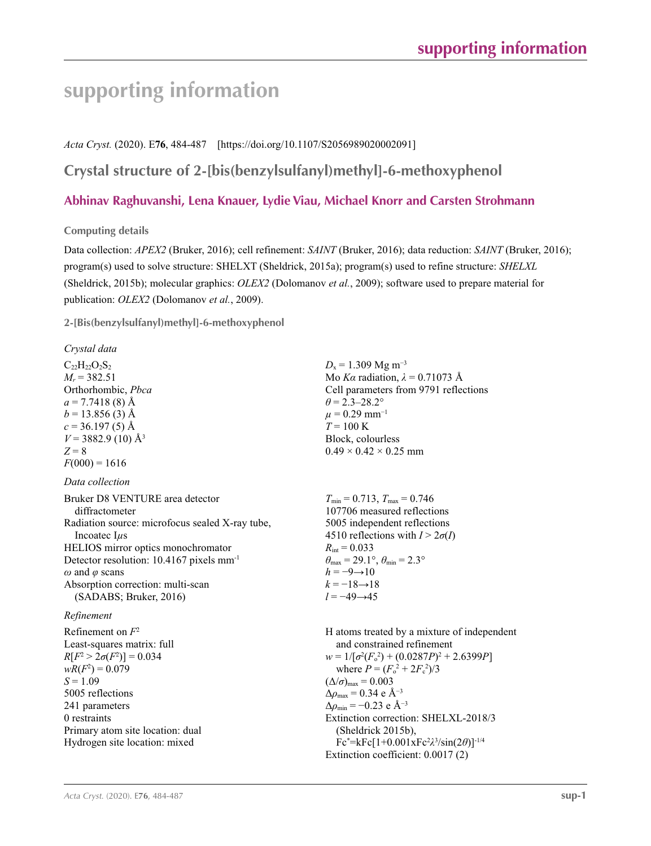# **supporting information**

*Acta Cryst.* (2020). E**76**, 484-487 [https://doi.org/10.1107/S2056989020002091]

# **Crystal structure of 2-[bis(benzylsulfanyl)methyl]-6-methoxyphenol**

# **Abhinav Raghuvanshi, Lena Knauer, Lydie Viau, Michael Knorr and Carsten Strohmann**

# **Computing details**

Data collection: *APEX2* (Bruker, 2016); cell refinement: *SAINT* (Bruker, 2016); data reduction: *SAINT* (Bruker, 2016); program(s) used to solve structure: SHELXT (Sheldrick, 2015a); program(s) used to refine structure: *SHELXL* (Sheldrick, 2015b); molecular graphics: *OLEX2* (Dolomanov *et al.*, 2009); software used to prepare material for publication: *OLEX2* (Dolomanov *et al.*, 2009).

**2-[Bis(benzylsulfanyl)methyl]-6-methoxyphenol** 

# *Crystal data*

 $C_{22}H_{22}O_2S_2$  $M_r = 382.51$ Orthorhombic, *Pbca*  $a = 7.7418(8)$  Å  $b = 13.856(3)$  Å  $c = 36.197(5)$  Å  $V = 3882.9$  (10) Å<sup>3</sup>  $Z = 8$  $F(000) = 1616$ 

# *Data collection*

| Bruker D8 VENTURE area detector                      |
|------------------------------------------------------|
| diffractometer                                       |
| Radiation source: microfocus sealed X-ray tube,      |
| Incoatec Lus                                         |
| HELIOS mirror optics monochromator                   |
| Detector resolution: 10.4167 pixels mm <sup>-1</sup> |
| $\omega$ and $\varphi$ scans                         |
| Absorption correction: multi-scan                    |
| (SADABS; Bruker, 2016)                               |

## *Refinement*

Refinement on *F*<sup>2</sup> Least-squares matrix: full *R*[ $F^2 > 2\sigma(F^2)$ ] = 0.034  $wR(F^2) = 0.079$  $S = 1.09$ 5005 reflections 241 parameters 0 restraints Primary atom site location: dual Hydrogen site location: mixed

 $D_x = 1.309$  Mg m<sup>-3</sup> Mo *Kα* radiation,  $\lambda = 0.71073$  Å Cell parameters from 9791 reflections  $\theta$  = 2.3–28.2°  $\mu$  = 0.29 mm<sup>-1</sup>  $T = 100 \text{ K}$ Block, colourless  $0.49 \times 0.42 \times 0.25$  mm

 $T_{\text{min}} = 0.713$ ,  $T_{\text{max}} = 0.746$ 107706 measured reflections 5005 independent reflections 4510 reflections with  $I > 2\sigma(I)$  $R_{\text{int}} = 0.033$  $\theta_{\text{max}} = 29.1^{\circ}, \theta_{\text{min}} = 2.3^{\circ}$  $h = -9 \rightarrow 10$  $k = -18 \rightarrow 18$ *l* = −49→45

H atoms treated by a mixture of independent and constrained refinement  $w = 1/[\sigma^2 (F_o^2) + (0.0287P)^2 + 2.6399P]$ where  $P = (F_o^2 + 2F_c^2)/3$  $(\Delta/\sigma)_{\text{max}} = 0.003$ Δ*ρ*max = 0.34 e Å−3  $\Delta\rho_{\text{min}} = -0.23$  e Å<sup>-3</sup> Extinction correction: SHELXL-2018/3 (Sheldrick 2015b), Fc\* =kFc[1+0.001xFc2 *λ*3 /sin(2*θ*)]-1/4 Extinction coefficient: 0.0017 (2)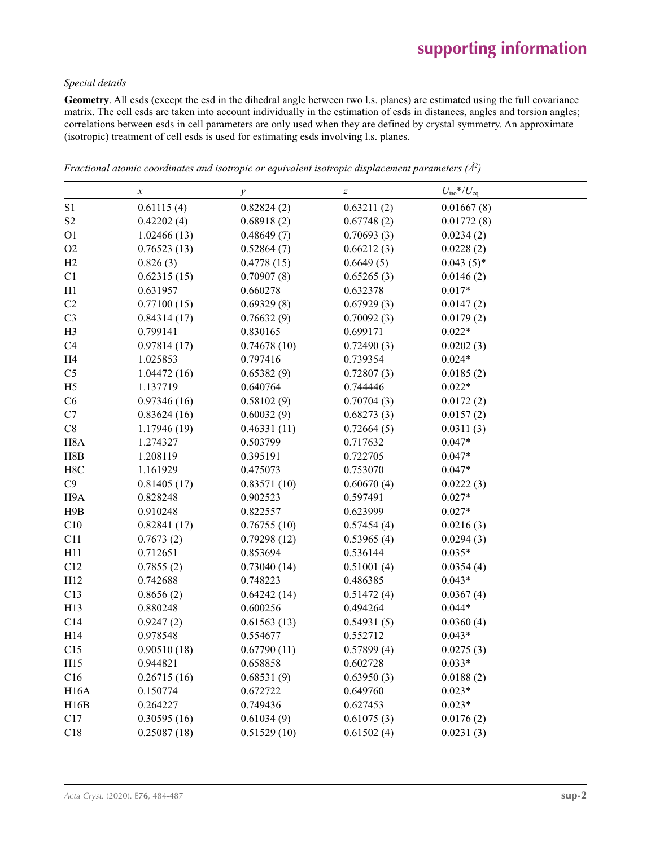## *Special details*

**Geometry**. All esds (except the esd in the dihedral angle between two l.s. planes) are estimated using the full covariance matrix. The cell esds are taken into account individually in the estimation of esds in distances, angles and torsion angles; correlations between esds in cell parameters are only used when they are defined by crystal symmetry. An approximate (isotropic) treatment of cell esds is used for estimating esds involving l.s. planes.

|                  | $\boldsymbol{\chi}$ | $\mathcal{Y}$ | $\boldsymbol{Z}$ | $U_{\rm iso}*/U_{\rm eq}$ |
|------------------|---------------------|---------------|------------------|---------------------------|
| S1               | 0.61115(4)          | 0.82824(2)    | 0.63211(2)       | 0.01667(8)                |
| S <sub>2</sub>   | 0.42202(4)          | 0.68918(2)    | 0.67748(2)       | 0.01772(8)                |
| O <sub>1</sub>   | 1.02466(13)         | 0.48649(7)    | 0.70693(3)       | 0.0234(2)                 |
| O2               | 0.76523(13)         | 0.52864(7)    | 0.66212(3)       | 0.0228(2)                 |
| H2               | 0.826(3)            | 0.4778(15)    | 0.6649(5)        | $0.043(5)$ *              |
| C1               | 0.62315(15)         | 0.70907(8)    | 0.65265(3)       | 0.0146(2)                 |
| H1               | 0.631957            | 0.660278      | 0.632378         | $0.017*$                  |
| C2               | 0.77100(15)         | 0.69329(8)    | 0.67929(3)       | 0.0147(2)                 |
| $\rm{C3}$        | 0.84314(17)         | 0.76632(9)    | 0.70092(3)       | 0.0179(2)                 |
| H <sub>3</sub>   | 0.799141            | 0.830165      | 0.699171         | $0.022*$                  |
| C4               | 0.97814(17)         | 0.74678(10)   | 0.72490(3)       | 0.0202(3)                 |
| H <sub>4</sub>   | 1.025853            | 0.797416      | 0.739354         | $0.024*$                  |
| C <sub>5</sub>   | 1.04472(16)         | 0.65382(9)    | 0.72807(3)       | 0.0185(2)                 |
| H <sub>5</sub>   | 1.137719            | 0.640764      | 0.744446         | $0.022*$                  |
| C6               | 0.97346(16)         | 0.58102(9)    | 0.70704(3)       | 0.0172(2)                 |
| C7               | 0.83624(16)         | 0.60032(9)    | 0.68273(3)       | 0.0157(2)                 |
| $\rm C8$         | 1.17946 (19)        | 0.46331(11)   | 0.72664(5)       | 0.0311(3)                 |
| H <sub>8</sub> A | 1.274327            | 0.503799      | 0.717632         | $0.047*$                  |
| H8B              | 1.208119            | 0.395191      | 0.722705         | $0.047*$                  |
| H8C              | 1.161929            | 0.475073      | 0.753070         | $0.047*$                  |
| C9               | 0.81405(17)         | 0.83571(10)   | 0.60670(4)       | 0.0222(3)                 |
| H9A              | 0.828248            | 0.902523      | 0.597491         | $0.027*$                  |
| H <sub>9</sub> B | 0.910248            | 0.822557      | 0.623999         | $0.027*$                  |
| C10              | 0.82841(17)         | 0.76755(10)   | 0.57454(4)       | 0.0216(3)                 |
| C11              | 0.7673(2)           | 0.79298(12)   | 0.53965(4)       | 0.0294(3)                 |
| H11              | 0.712651            | 0.853694      | 0.536144         | $0.035*$                  |
| C12              | 0.7855(2)           | 0.73040(14)   | 0.51001(4)       | 0.0354(4)                 |
| H12              | 0.742688            | 0.748223      | 0.486385         | $0.043*$                  |
| C13              | 0.8656(2)           | 0.64242(14)   | 0.51472(4)       | 0.0367(4)                 |
| H13              | 0.880248            | 0.600256      | 0.494264         | $0.044*$                  |
| C14              | 0.9247(2)           | 0.61563(13)   | 0.54931(5)       | 0.0360(4)                 |
| H14              | 0.978548            | 0.554677      | 0.552712         | $0.043*$                  |
| C15              | 0.90510(18)         | 0.67790(11)   | 0.57899(4)       | 0.0275(3)                 |
| H15              | 0.944821            | 0.658858      | 0.602728         | $0.033*$                  |
| C16              | 0.26715(16)         | 0.68531(9)    | 0.63950(3)       | 0.0188(2)                 |
| <b>H16A</b>      | 0.150774            | 0.672722      | 0.649760         | $0.023*$                  |
| H16B             | 0.264227            | 0.749436      | 0.627453         | $0.023*$                  |
| C17              | 0.30595(16)         | 0.61034(9)    | 0.61075(3)       | 0.0176(2)                 |
| C18              | 0.25087(18)         | 0.51529(10)   | 0.61502(4)       | 0.0231(3)                 |

*Fractional atomic coordinates and isotropic or equivalent isotropic displacement parameters (Å<sup>2</sup>)*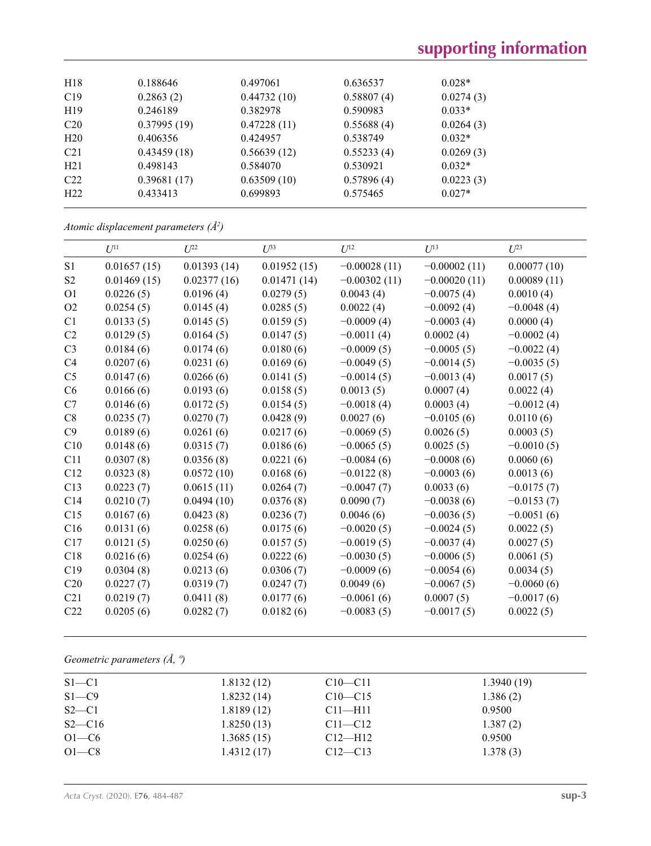| H18             | 0.188646    | 0.497061    | 0.636537   | $0.028*$  |
|-----------------|-------------|-------------|------------|-----------|
| C19             | 0.2863(2)   | 0.44732(10) | 0.58807(4) | 0.0274(3) |
| H <sub>19</sub> | 0.246189    | 0.382978    | 0.590983   | $0.033*$  |
| C <sub>20</sub> | 0.37995(19) | 0.47228(11) | 0.55688(4) | 0.0264(3) |
| H20             | 0.406356    | 0.424957    | 0.538749   | $0.032*$  |
| C <sub>21</sub> | 0.43459(18) | 0.56639(12) | 0.55233(4) | 0.0269(3) |
| H21             | 0.498143    | 0.584070    | 0.530921   | $0.032*$  |
| C <sub>22</sub> | 0.39681(17) | 0.63509(10) | 0.57896(4) | 0.0223(3) |
| H22             | 0.433413    | 0.699893    | 0.575465   | $0.027*$  |
|                 |             |             |            |           |

*Atomic displacement parameters (Å2 )*

|                 | $U^{11}$    | $U^{22}$    | $\overline{L}$ <sup>33</sup> | $U^{12}$       | $U^{13}$       | $U^{23}$     |
|-----------------|-------------|-------------|------------------------------|----------------|----------------|--------------|
| S1              | 0.01657(15) | 0.01393(14) | 0.01952(15)                  | $-0.00028(11)$ | $-0.00002(11)$ | 0.00077(10)  |
| S <sub>2</sub>  | 0.01469(15) | 0.02377(16) | 0.01471(14)                  | $-0.00302(11)$ | $-0.00020(11)$ | 0.00089(11)  |
| O <sub>1</sub>  | 0.0226(5)   | 0.0196(4)   | 0.0279(5)                    | 0.0043(4)      | $-0.0075(4)$   | 0.0010(4)    |
| O <sub>2</sub>  | 0.0254(5)   | 0.0145(4)   | 0.0285(5)                    | 0.0022(4)      | $-0.0092(4)$   | $-0.0048(4)$ |
| C1              | 0.0133(5)   | 0.0145(5)   | 0.0159(5)                    | $-0.0009(4)$   | $-0.0003(4)$   | 0.0000(4)    |
| C <sub>2</sub>  | 0.0129(5)   | 0.0164(5)   | 0.0147(5)                    | $-0.0011(4)$   | 0.0002(4)      | $-0.0002(4)$ |
| C <sub>3</sub>  | 0.0184(6)   | 0.0174(6)   | 0.0180(6)                    | $-0.0009(5)$   | $-0.0005(5)$   | $-0.0022(4)$ |
| C <sub>4</sub>  | 0.0207(6)   | 0.0231(6)   | 0.0169(6)                    | $-0.0049(5)$   | $-0.0014(5)$   | $-0.0035(5)$ |
| C <sub>5</sub>  | 0.0147(6)   | 0.0266(6)   | 0.0141(5)                    | $-0.0014(5)$   | $-0.0013(4)$   | 0.0017(5)    |
| C6              | 0.0166(6)   | 0.0193(6)   | 0.0158(5)                    | 0.0013(5)      | 0.0007(4)      | 0.0022(4)    |
| C7              | 0.0146(6)   | 0.0172(5)   | 0.0154(5)                    | $-0.0018(4)$   | 0.0003(4)      | $-0.0012(4)$ |
| C8              | 0.0235(7)   | 0.0270(7)   | 0.0428(9)                    | 0.0027(6)      | $-0.0105(6)$   | 0.0110(6)    |
| C9              | 0.0189(6)   | 0.0261(6)   | 0.0217(6)                    | $-0.0069(5)$   | 0.0026(5)      | 0.0003(5)    |
| C10             | 0.0148(6)   | 0.0315(7)   | 0.0186(6)                    | $-0.0065(5)$   | 0.0025(5)      | $-0.0010(5)$ |
| C11             | 0.0307(8)   | 0.0356(8)   | 0.0221(6)                    | $-0.0084(6)$   | $-0.0008(6)$   | 0.0060(6)    |
| C12             | 0.0323(8)   | 0.0572(10)  | 0.0168(6)                    | $-0.0122(8)$   | $-0.0003(6)$   | 0.0013(6)    |
| C13             | 0.0223(7)   | 0.0615(11)  | 0.0264(7)                    | $-0.0047(7)$   | 0.0033(6)      | $-0.0175(7)$ |
| C14             | 0.0210(7)   | 0.0494(10)  | 0.0376(8)                    | 0.0090(7)      | $-0.0038(6)$   | $-0.0153(7)$ |
| C15             | 0.0167(6)   | 0.0423(8)   | 0.0236(7)                    | 0.0046(6)      | $-0.0036(5)$   | $-0.0051(6)$ |
| C16             | 0.0131(6)   | 0.0258(6)   | 0.0175(6)                    | $-0.0020(5)$   | $-0.0024(5)$   | 0.0022(5)    |
| C17             | 0.0121(5)   | 0.0250(6)   | 0.0157(5)                    | $-0.0019(5)$   | $-0.0037(4)$   | 0.0027(5)    |
| C18             | 0.0216(6)   | 0.0254(6)   | 0.0222(6)                    | $-0.0030(5)$   | $-0.0006(5)$   | 0.0061(5)    |
| C19             | 0.0304(8)   | 0.0213(6)   | 0.0306(7)                    | $-0.0009(6)$   | $-0.0054(6)$   | 0.0034(5)    |
| C <sub>20</sub> | 0.0227(7)   | 0.0319(7)   | 0.0247(7)                    | 0.0049(6)      | $-0.0067(5)$   | $-0.0060(6)$ |
| C21             | 0.0219(7)   | 0.0411(8)   | 0.0177(6)                    | $-0.0061(6)$   | 0.0007(5)      | $-0.0017(6)$ |
| C22             | 0.0205(6)   | 0.0282(7)   | 0.0182(6)                    | $-0.0083(5)$   | $-0.0017(5)$   | 0.0022(5)    |

# *Geometric parameters (Å, º)*

| $S1 - C1$  | 1.8132(12) | $C10 - C11$ | 1.3940(19) |  |
|------------|------------|-------------|------------|--|
| $S1 - C9$  | 1.8232(14) | $C10 - C15$ | 1.386(2)   |  |
| $S2 - C1$  | 1.8189(12) | C11-H11     | 0.9500     |  |
| $S2 - C16$ | 1.8250(13) | $C11 - C12$ | 1.387(2)   |  |
| $O1 - C6$  | 1.3685(15) | $C12-H12$   | 0.9500     |  |
| $O1 - C8$  | 1.4312(17) | $C12 - C13$ | 1.378(3)   |  |
|            |            |             |            |  |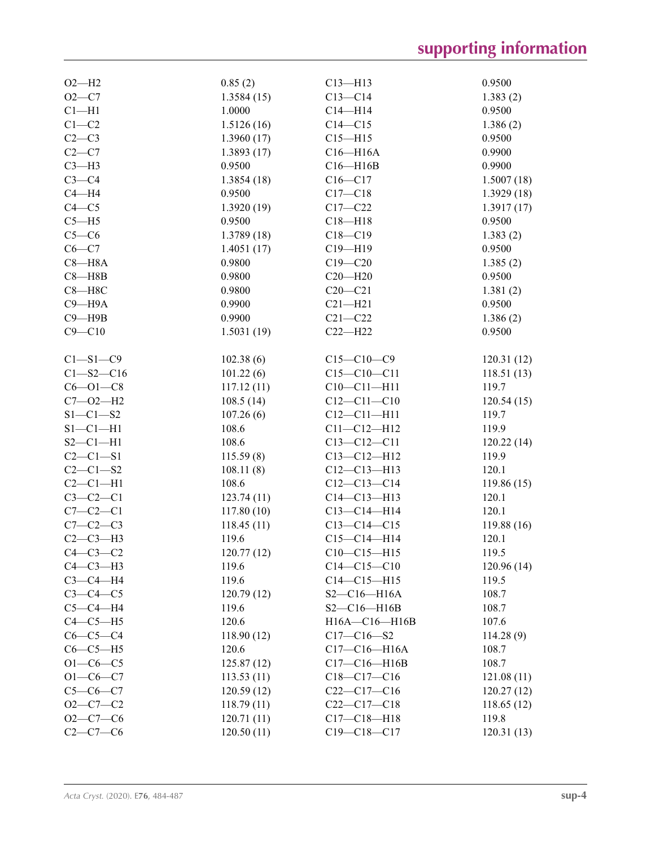| $O2-H2$         | 0.85(2)            | $C13 - H13$       | 0.9500     |
|-----------------|--------------------|-------------------|------------|
| $O2 - C7$       | 1.3584(15)         | $C13 - C14$       | 1.383(2)   |
| $Cl-H1$         | 1.0000             | $C14 - H14$       | 0.9500     |
| $C1-C2$         | 1.5126(16)         | $C14 - C15$       | 1.386(2)   |
| $C2-C3$         | 1.3960(17)         | $C15 - H15$       | 0.9500     |
| $C2-C7$         | 1.3893(17)         | $C16 - H16A$      | 0.9900     |
| $C3-H3$         | 0.9500             | $C16 - H16B$      | 0.9900     |
| $C3-C4$         | 1.3854(18)         | $C16 - C17$       | 1.5007(18) |
| $C4 - H4$       | 0.9500             | $C17 - C18$       | 1.3929(18) |
| $C4 - C5$       | 1.3920(19)         | $C17 - C22$       | 1.3917(17) |
| $C5 - H5$       | 0.9500             | $C18 - H18$       | 0.9500     |
| $C5-C6$         | 1.3789(18)         | $C18 - C19$       | 1.383(2)   |
| $C6 - C7$       | 1.4051(17)         | $C19 - H19$       | 0.9500     |
| $C8 - H8A$      | 0.9800             | $C19 - C20$       | 1.385(2)   |
| $C8 - H8B$      | 0.9800             | $C20 - H20$       | 0.9500     |
| $C8 - H8C$      | 0.9800             | $C20-C21$         | 1.381(2)   |
| $C9 - H9A$      | 0.9900             | $C21 - H21$       | 0.9500     |
| $C9 - H9B$      |                    |                   |            |
| $C9 - C10$      | 0.9900             | $C21 - C22$       | 1.386(2)   |
|                 | 1.5031(19)         | $C22-H22$         | 0.9500     |
| $C1 - S1 - C9$  | 102.38(6)          | $C15 - C10 - C9$  | 120.31(12) |
| $C1 - S2 - C16$ | 101.22(6)          | $C15 - C10 - C11$ | 118.51(13) |
| $C6 - O1 - C8$  | 117.12(11)         | $C10 - C11 - H11$ | 119.7      |
| $C7 - O2 - H2$  | 108.5(14)          | $C12 - C11 - C10$ | 120.54(15) |
| $S1 - C1 - S2$  |                    | $C12 - C11 - H11$ |            |
| $S1-C1-H1$      | 107.26(6)<br>108.6 | $C11 - C12 - H12$ | 119.7      |
|                 |                    |                   | 119.9      |
| $S2-C1-H1$      | 108.6              | $C13 - C12 - C11$ | 120.22(14) |
| $C2 - C1 - S1$  | 115.59(8)          | $C13 - C12 - H12$ | 119.9      |
| $C2 - C1 - S2$  | 108.11(8)          | $C12-C13-H13$     | 120.1      |
| $C2-C1-H1$      | 108.6              | $C12-C13-C14$     | 119.86(15) |
| $C3-C2-C1$      | 123.74(11)         | $C14 - C13 - H13$ | 120.1      |
| $C7-C2-C1$      | 117.80(10)         | $C13 - C14 - H14$ | 120.1      |
| $C7-C2-C3$      | 118.45(11)         | $C13-C14-C15$     | 119.88(16) |
| $C2-C3-H3$      | 119.6              | $C15 - C14 - H14$ | 120.1      |
| $C4-C3-C2$      | 120.77(12)         | $C10-C15-H15$     | 119.5      |
| $C4-C3-H3$      | 119.6              | $C14-C15-C10$     | 120.96(14) |
| $C3-C4-H4$      | 119.6              | $C14 - C15 - H15$ | 119.5      |
| $C3-C4-C5$      | 120.79(12)         | $S2-C16-H16A$     | 108.7      |
| $C5-C4-H4$      | 119.6              | $S2 - C16 - H16B$ | 108.7      |
| $C4-C5-H5$      | 120.6              | H16A-C16-H16B     | 107.6      |
| $C6-C5-C4$      | 118.90(12)         | $C17 - C16 - S2$  | 114.28(9)  |
| $C6-C5-H5$      | 120.6              | $C17-C16-H16A$    | 108.7      |
| $O1 - C6 - C5$  | 125.87(12)         | $C17-C16-H16B$    | 108.7      |
| $O1 - C6 - C7$  | 113.53(11)         | $C18-C17-C16$     | 121.08(11) |
| $C5 - C6 - C7$  | 120.59(12)         | $C22-C17-C16$     | 120.27(12) |
| $O2 - C7 - C2$  | 118.79(11)         | $C22-C17-C18$     | 118.65(12) |
| $O2-C7-C6$      | 120.71(11)         | $C17 - C18 - H18$ | 119.8      |
| $C2-C7-C6$      | 120.50(11)         | $C19 - C18 - C17$ | 120.31(13) |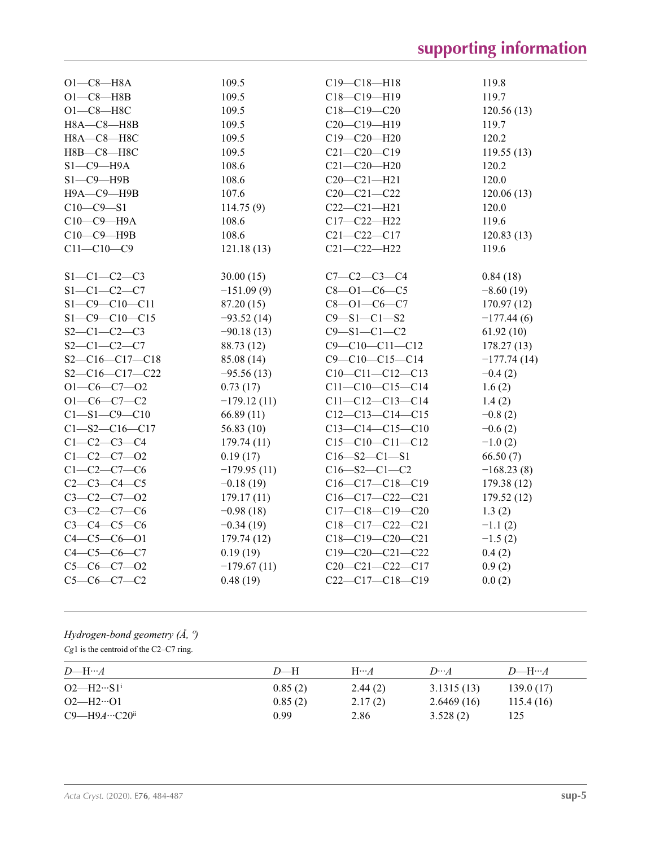| 109.5         | $C19 - C18 - H18$       | 119.8         |
|---------------|-------------------------|---------------|
| 109.5         | C18-C19-H19             | 119.7         |
| 109.5         | $C18 - C19 - C20$       | 120.56(13)    |
| 109.5         | $C20-C19-H19$           | 119.7         |
| 109.5         | $C19 - C20 - H20$       | 120.2         |
| 109.5         | $C21 - C20 - C19$       | 119.55(13)    |
| 108.6         | $C21 - C20 - H20$       | 120.2         |
| 108.6         | $C20 - C21 - H21$       | 120.0         |
| 107.6         | $C20 - C21 - C22$       | 120.06(13)    |
| 114.75(9)     | $C22-C21-H21$           | 120.0         |
| 108.6         | $C17 - C22 - H22$       | 119.6         |
| 108.6         | $C21 - C22 - C17$       | 120.83(13)    |
| 121.18(13)    | $C21 - C22 - H22$       | 119.6         |
|               |                         |               |
| 30.00(15)     | $C7 - C2 - C3 - C4$     | 0.84(18)      |
| $-151.09(9)$  | $C8 - 01 - C6 - C5$     | $-8.60(19)$   |
| 87.20 (15)    | $C8 - 01 - C6 - C7$     | 170.97(12)    |
| $-93.52(14)$  | $C9 - S1 - C1 - S2$     | $-177.44(6)$  |
| $-90.18(13)$  | $C9 - S1 - C1 - C2$     | 61.92(10)     |
| 88.73 (12)    | $C9 - C10 - C11 - C12$  | 178.27(13)    |
| 85.08 (14)    | $C9 - C10 - C15 - C14$  | $-177.74(14)$ |
| $-95.56(13)$  | $C10-C11-C12-C13$       | $-0.4(2)$     |
| 0.73(17)      | $C11-C10-C15-C14$       | 1.6(2)        |
| $-179.12(11)$ | $C11 - C12 - C13 - C14$ | 1.4(2)        |
| 66.89(11)     | $C12-C13-C14-C15$       | $-0.8(2)$     |
| 56.83 $(10)$  | $C13-C14-C15-C10$       | $-0.6(2)$     |
| 179.74(11)    | $C15-C10-C11-C12$       | $-1.0(2)$     |
| 0.19(17)      | $C16 - S2 - C1 - S1$    | 66.50(7)      |
| $-179.95(11)$ | $C16 - S2 - C1 - C2$    | $-168.23(8)$  |
| $-0.18(19)$   | C16-C17-C18-C19         | 179.38 (12)   |
| 179.17(11)    | $C16-C17-C22-C21$       | 179.52(12)    |
| $-0.98(18)$   | $C17-C18-C19-C20$       | 1.3(2)        |
| $-0.34(19)$   | C18-C17-C22-C21         | $-1.1(2)$     |
| 179.74 (12)   | $C18-C19-C20-C21$       | $-1.5(2)$     |
| 0.19(19)      | $C19-C20-C21-C22$       | 0.4(2)        |
| $-179.67(11)$ | $C20-C21-C22-C17$       | 0.9(2)        |
| 0.48(19)      | $C22-C17-C18-C19$       | 0.0(2)        |
|               |                         |               |

# *Hydrogen-bond geometry (Å, º)*

*Cg*1 is the centroid of the C2–C7 ring.

| $D\rightarrowtail H\rightarrowtail A$ | $D$ —H  | $H\cdots A$ | $D\cdots A$ | $D$ —H… $A$ |
|---------------------------------------|---------|-------------|-------------|-------------|
| $O2-H2 \cdots S1^i$                   | 0.85(2) | 2.44(2)     | 3.1315(13)  | 139.0(17)   |
| $O2$ —H2…O1                           | 0.85(2) | 2.17(2)     | 2.6469(16)  | 115.4(16)   |
| $C9 - H9A \cdots C20$ <sup>ii</sup>   | 0.99    | 2.86        | 3.528(2)    | 125         |